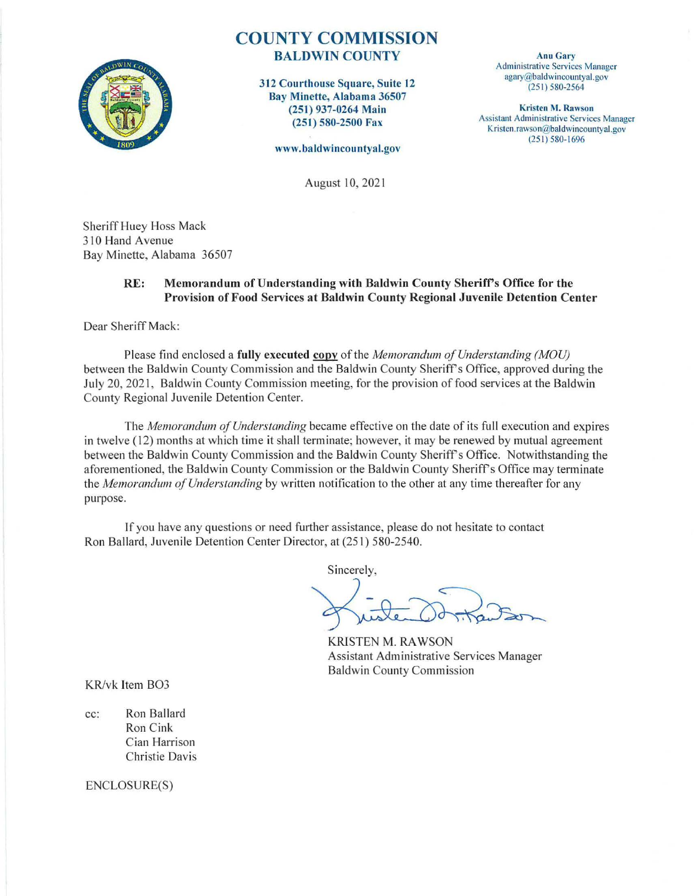

# **COUNTY COMMISSION**  BALDWIN COUNTY

312 Courthouse Square, Suite 12 Bay Minette, Alabama 36507 (251) 937-0264 Main (251) 580-2500 Fax

www. ba ldwincountya l.gov

Anu Gary Administrative Services Manager  $a$ gary@baldwincountyal.gov (251) 580-2564

Kristen M. Rawson Assistant Administrative Services Manager Kristen.rawson@baldwincountyal.gov  $(251) 580 - 1696$ 

August 10, 202 I

Sheriff Huey Hoss Mack 310 Hand Avenue Bay Minette, Alabama 36507

#### RE: Memorandum of Understanding with Baldwin County Sheriff's Office for the Provision of Food Services at Baldwin County Regional Juvenile Detention Center

Dear Sheriff Mack:

Please find enclosed a fully executed copy of the *Memorandum of Understanding (MOU)* between the Baldwin County Commission and the Baldwin County Sheriff's Office, approved during the July 20, 202 I, Baldwin County Commission meeting, for the provision of food services at the Baldwin County Regional Juvenile Detention Center.

The *Memorandum of Understanding* became effective on the date of its full execution and expires in twelve ( 12) months at which time it shall terminate; however, it may be renewed by mutual agreement between the Baldwin County Commission and the Baldwin County Sheriff's Office. Notwithstanding the aforementioned, the Baldwin County Commission or the Baldwin County Sheriff's Office may terminate the *Memorandum of Understanding* by written notification to the other at any time thereafter for any purpose.

If you have any questions or need further assistance, please do not hesitate to contact Ron Ballard, Juvenile Detention Center Director, at (251) 580-2540.

Sincerely,

KRISTEN M. RAWSON Assistant Administrative Services Manager Baldwin County Commission

KR/vk Item BO3

cc: Ron Ballard Ron Cink Cian Harrison Christie Davis

ENCLOSURE(S)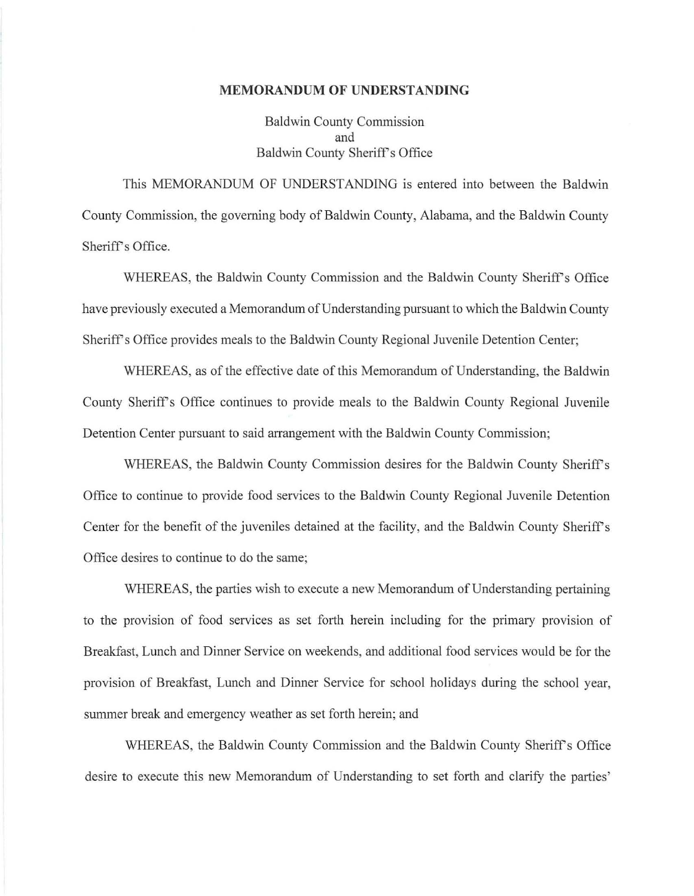#### **MEMORANDUM OF UNDERSTANDING**

Baldwin County Commission and Baldwin County Sheriff's Office

This MEMORANDUM OF UNDERSTANDING is entered into between the Baldwin County Commission, the governing body of Baldwin County, Alabama, and the Baldwin County Sheriff's Office.

WHEREAS, the Baldwin County Commission and the Baldwin County Sheriff's Office have previously executed a Memorandum of Understanding pursuant to which the Baldwin County Sheriff's Office provides meals to the Baldwin County Regional Juvenile Detention Center;

WHEREAS, as of the effective date of this Memorandum of Understanding, the Baldwin County Sheriff's Office continues to provide meals to the Baldwin County Regional Juvenile Detention Center pursuant to said arrangement with the Baldwin County Commission;

WHEREAS, the Baldwin County Commission desires for the Baldwin County Sheriff's Office to continue to provide food services to the Baldwin County Regional Juvenile Detention Center for the benefit of the juveniles detained at the facility, and the Baldwin County Sheriffs Office desires to continue to do the same;

WHEREAS, the parties wish to execute a new Memorandum of Understanding pertaining to the provision of food services as set forth herein including for the primary provision of Breakfast, Lunch and Dinner Service on weekends, and additional food services would be for the provision of Breakfast, Lunch and Dinner Service for school holidays during the school year, summer break and emergency weather as set forth herein; and

WHEREAS, the Baldwin County Commission and the Baldwin County Sheriff's Office desire to execute this new Memorandum of Understanding to set forth and clarify the parties'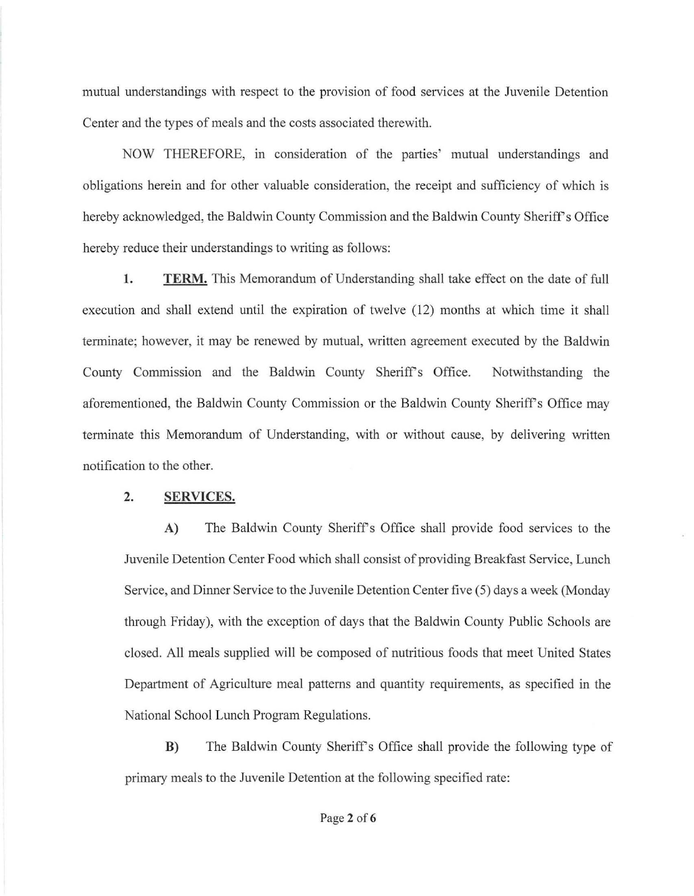mutual understandings with respect to the provision of food services at the Juvenile Detention Center and the types of meals and the costs associated therewith.

NOW THEREFORE, in consideration of the parties' mutual understandings and obligations herein and for other valuable consideration, the receipt and sufficiency of which is hereby acknowledged, the Baldwin County Commission and the Baldwin County Sheriff's Office hereby reduce their understandings to writing as follows:

**1. TERM.** This Memorandum of Understanding shall take effect on the date of full execution and shall extend until the expiration of twelve  $(12)$  months at which time it shall terminate; however, it may be renewed by mutual, written agreement executed by the Baldwin County Commission and the Baldwin County Sheriff's Office. Notwithstanding the aforementioned, the Baldwin County Commission or the Baldwin County Sheriff's Office may terminate this Memorandum of Understanding, with or without cause, by delivering written notification to the other.

### **2. SERVICES.**

A) The Baldwin County Sheriff's Office shall provide food services to the Juvenile Detention Center Food which shall consist of providing Breakfast Service, Lunch Service, and Dinner Service to the Juvenile Detention Center five (5) days a week (Monday through Friday), with the exception of days that the Baldwin County Public Schools are closed. All meals supplied will be composed of nutritious foods that meet United States Department of Agriculture meal patterns and quantity requirements, as specified in the National School Lunch Program Regulations.

**B)** The Baldwin County Sheriffs Office shall provide the following type of primary meals to the Juvenile Detention at the following specified rate: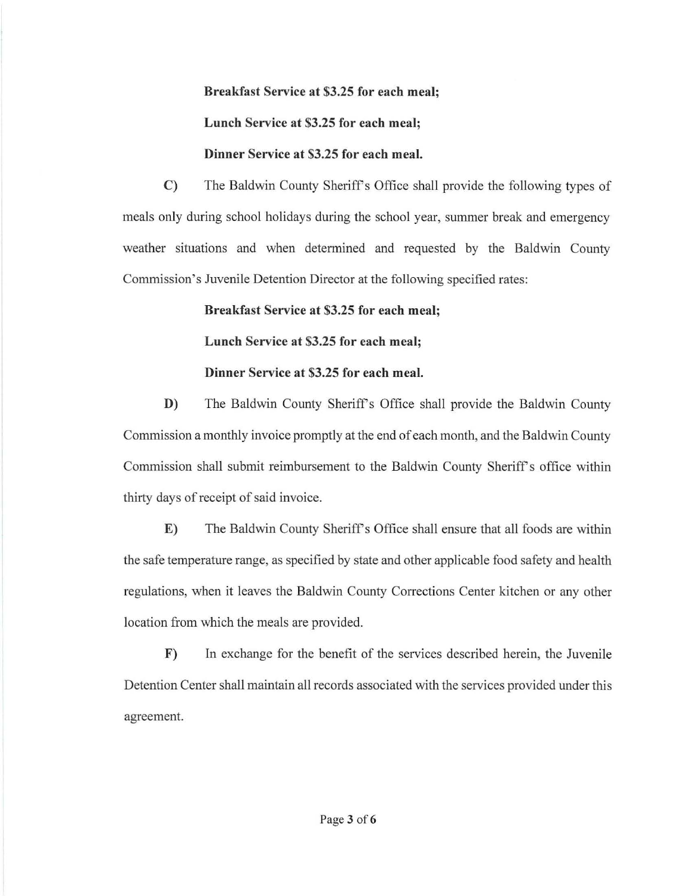**Breakfast Service at \$3.25 for each meal;** 

## **Lunch Service at \$3.25 for each meal;**

## **Dinner Service at \$3.25 for each meal.**

C) The Baldwin County Sheriff's Office shall provide the following types of meals only during school holidays during the school year, summer break and emergency weather situations and when determined and requested by the Baldwin County Commission's Juvenile Detention Director at the following specified rates:

## **Breakfast Service at \$3.25 for each meal;**

**Lunch Service at \$3.25 for each meal;** 

# **Dinner Service at \$3.25 for each meal.**

**D)** The Baldwin County Sheriff's Office shall provide the Baldwin County Commission a monthly invoice promptly at the end of each month, and the Baldwin County Commission shall submit reimbursement to the Baldwin County Sheriff's office within thirty days of receipt of said invoice.

**E)** The Baldwin County Sheriff's Office shall ensure that all foods are within the safe temperature range, as specified by state and other applicable food safety and health regulations, when it leaves the Baldwin County Corrections Center kitchen or any other location from which the meals are provided.

**F)** In exchange for the benefit of the services described herein, the Juvenile Detention Center shall maintain all records associated with the services provided under this agreement.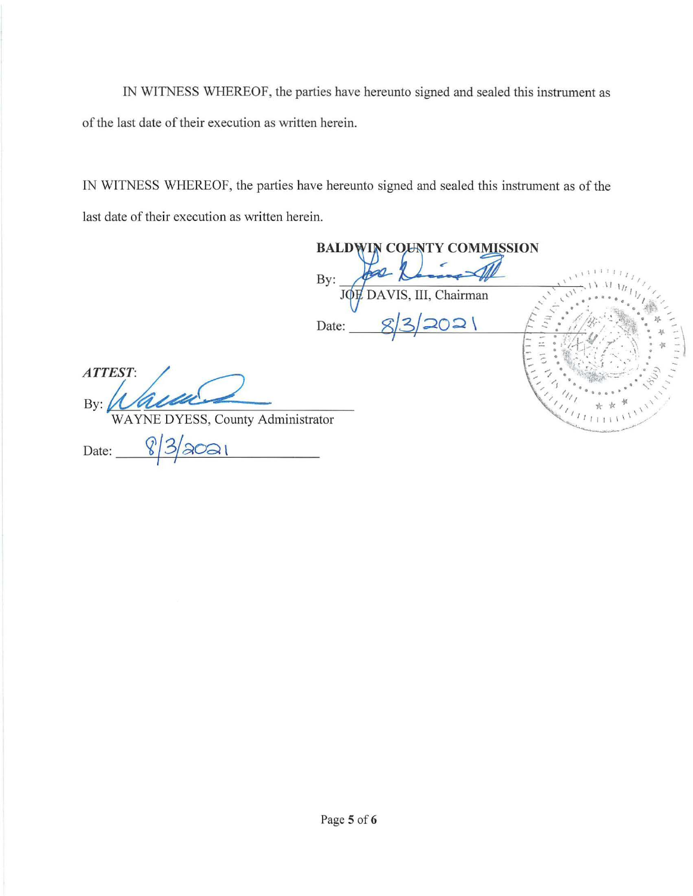IN WITNESS WHEREOF, the parties have hereunto signed and sealed this instrument as of the last date of their execution as written herein.

IN WITNESS WHEREOF, the parties have hereunto signed and sealed this instrument as of the last date of their execution as written herein.

By:

**BALDWIN COUNTY COMMISSION** By: JOH DAVIS, III, Chairman Date:  $ATTEST:$ WAYNE DYESS, County Administrator  $8/3/3021$ Date: